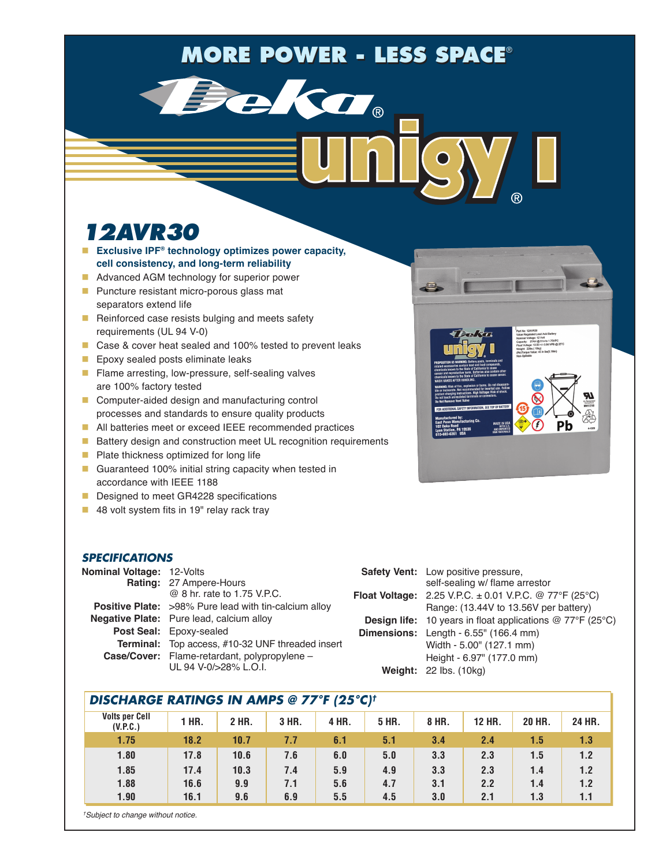# **MORE POWER - LESS SPACE®**

Teka.

## *12AVR30*

- **Exclusive IPF<sup>®</sup> technology optimizes power capacity, cell consistency, and long-term reliability**
- **Advanced AGM technology for superior power**
- **Puncture resistant micro-porous glass mat** separators extend life
- Reinforced case resists bulging and meets safety requirements (UL 94 V-0)
- Case & cover heat sealed and 100% tested to prevent leaks
- **Epoxy sealed posts eliminate leaks**
- Flame arresting, low-pressure, self-sealing valves are 100% factory tested
- Computer-aided design and manufacturing control processes and standards to ensure quality products
- All batteries meet or exceed IEEE recommended practices
- **Battery design and construction meet UL recognition requirements**
- $\blacksquare$  Plate thickness optimized for long life
- Guaranteed 100% initial string capacity when tested in accordance with IEEE 1188
- Designed to meet GR4228 specifications
- 48 volt system fits in 19" relay rack tray

#### *SPECIFICATIONS*

| <b>Nominal Voltage: 12-Volts</b> |                                                              | <b>Safet</b>   |
|----------------------------------|--------------------------------------------------------------|----------------|
|                                  | Rating: 27 Ampere-Hours                                      |                |
|                                  | @ 8 hr. rate to 1.75 V.P.C.                                  | <b>Float V</b> |
|                                  | <b>Positive Plate:</b> >98% Pure lead with tin-calcium alloy |                |
|                                  | <b>Negative Plate:</b> Pure lead, calcium alloy              | <b>Desi</b>    |
|                                  | Post Seal: Epoxy-sealed                                      | <b>Dimer</b>   |
|                                  | Terminal: Top access, #10-32 UNF threaded insert             |                |
|                                  | Case/Cover: Flame-retardant, polypropylene -                 |                |
|                                  | UL 94 V-0/>28% L.O.I.                                        |                |

| <b>Safety Vent:</b> Low positive pressure,                                       |
|----------------------------------------------------------------------------------|
| self-sealing w/ flame arrestor                                                   |
| <b>Float Voltage:</b> 2.25 V.P.C. $\pm$ 0.01 V.P.C. @ 77°F (25°C)                |
| Range: (13.44V to 13.56V per battery)                                            |
| <b>Design life:</b> 10 years in float applications $@ 77^{\circ}F (25^{\circ}C)$ |
| <b>Dimensions:</b> Length $-6.55$ " (166.4 mm)                                   |
| Width - 5.00" (127.1 mm)                                                         |
| Height - 6.97" (177.0 mm)                                                        |
| Weight: 22 lbs. (10kg)                                                           |
|                                                                                  |

### *DISCHARGE RATINGS IN AMPS @ 77°F (25°C)†*

| <b>Volts per Cell</b><br>(V.P.C.) | 1 HR. | 2 HR. | 3 HR. | 4 HR. | 5 HR. | 8 HR. | 12 HR. | <b>20 HR.</b> | 24 HR. |
|-----------------------------------|-------|-------|-------|-------|-------|-------|--------|---------------|--------|
| 1.75                              | 18.2  | 10.7  | 7.7   | 6.1   | 5.1   | 3.4   | 2.4    | 1.5           | 1.3    |
| 1.80                              | 17.8  | 10.6  | 7.6   | 6.0   | 5.0   | 3.3   | 2.3    | 1.5           | 1.2    |
| 1.85                              | 17.4  | 10.3  | 7.4   | 5.9   | 4.9   | 3.3   | 2.3    | 1.4           | 1.2    |
| 1.88                              | 16.6  | 9.9   | 7.1   | 5.6   | 4.7   | 3.1   | 2.2    | 1.4           | 1.2    |
| 1.90                              | 16.1  | 9.6   | 6.9   | 5.5   | 4.5   | 3.0   | 2.1    | 1.3           | 1.1    |
|                                   |       |       |       |       |       |       |        |               |        |



*† Subject to change without notice.*